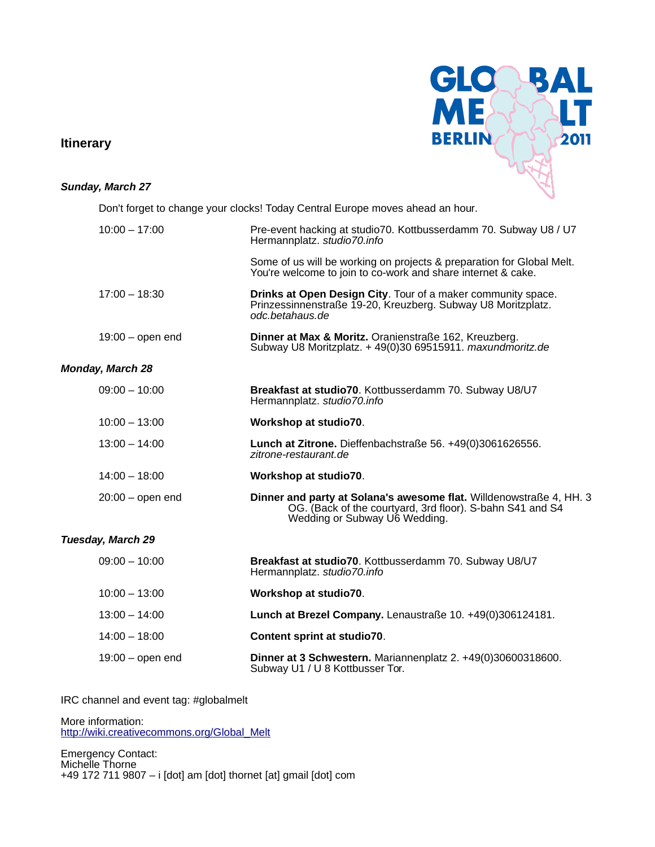### **Itinerary**



#### **Sunday, March 27**

Don't forget to change your clocks! Today Central Europe moves ahead an hour.

| $10:00 - 17:00$          | Pre-event hacking at studio70. Kottbusserdamm 70. Subway U8 / U7<br>Hermannplatz. studio70.info                                                                   |
|--------------------------|-------------------------------------------------------------------------------------------------------------------------------------------------------------------|
|                          | Some of us will be working on projects & preparation for Global Melt.<br>You're welcome to join to co-work and share internet & cake.                             |
| $17:00 - 18:30$          | Drinks at Open Design City. Tour of a maker community space.<br>Prinzessinnenstraße 19-20, Kreuzberg. Subway U8 Moritzplatz.<br>odc.betahaus.de                   |
| $19:00 -$ open end       | Dinner at Max & Moritz. Oranienstraße 162, Kreuzberg.<br>Subway U8 Moritzplatz. + 49(0)30 69515911. maxundmoritz.de                                               |
| <b>Monday, March 28</b>  |                                                                                                                                                                   |
| $09:00 - 10:00$          | Breakfast at studio70. Kottbusserdamm 70. Subway U8/U7<br>Hermannplatz. studio70.info                                                                             |
| $10:00 - 13:00$          | Workshop at studio70.                                                                                                                                             |
| $13:00 - 14:00$          | Lunch at Zitrone. Dieffenbachstraße 56. +49(0)3061626556.<br>zitrone-restaurant.de                                                                                |
| $14:00 - 18:00$          | Workshop at studio70.                                                                                                                                             |
| $20:00 -$ open end       | Dinner and party at Solana's awesome flat. Willdenowstraße 4, HH. 3<br>OG. (Back of the courtyard, 3rd floor). S-bahn S41 and S4<br>Wedding or Subway U6 Wedding. |
| <b>Tuesday, March 29</b> |                                                                                                                                                                   |
| $09:00 - 10:00$          | Breakfast at studio70. Kottbusserdamm 70. Subway U8/U7<br>Hermannplatz. studio70.info                                                                             |
| $10:00 - 13:00$          | Workshop at studio70.                                                                                                                                             |
| $13:00 - 14:00$          | Lunch at Brezel Company. Lenaustraße 10. +49(0)306124181.                                                                                                         |
| $14:00 - 18:00$          | Content sprint at studio70.                                                                                                                                       |
|                          |                                                                                                                                                                   |

#### 19:00 – open end **Dinner at 3 Schwestern.** Mariannenplatz 2. +49(0)30600318600. Subway U1 / U 8 Kottbusser Tor.

IRC channel and event tag: #globalmelt

More information: [http://wiki.creativecommons.org/Global\\_Melt](http://wiki.creativecommons.org/Global_Melt)

Emergency Contact: Michelle Thorne +49 172 711 9807 – i [dot] am [dot] thornet [at] gmail [dot] com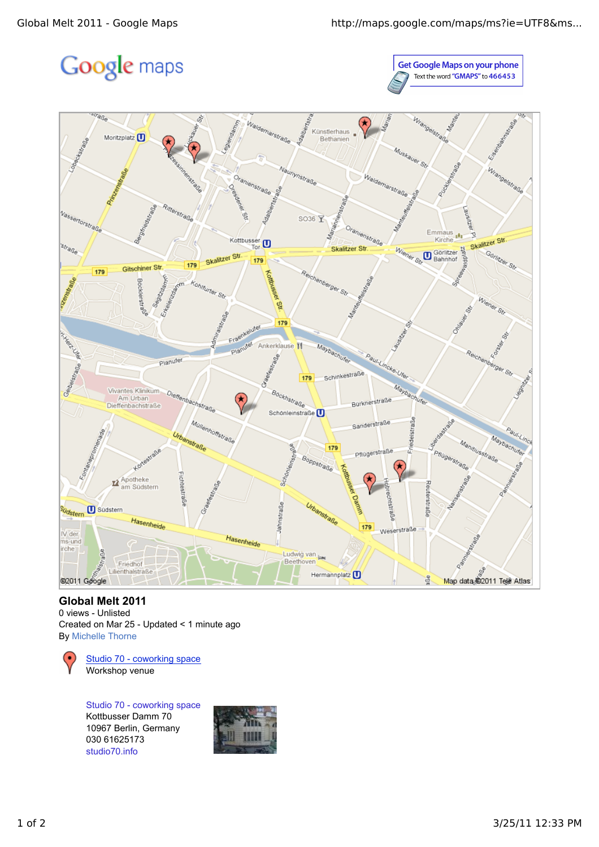# Google maps

**Get Google Maps on your phone** Text the word "GMAPS" to 466453



## **Global Melt 2011**

0 views - Unlisted Created on Mar 25 - Updated < 1 minute ago By Michelle Thorne



Studio 70 - coworking space Kottbusser Damm 70 10967 Berlin, Germany 030 61625173 studio70.info

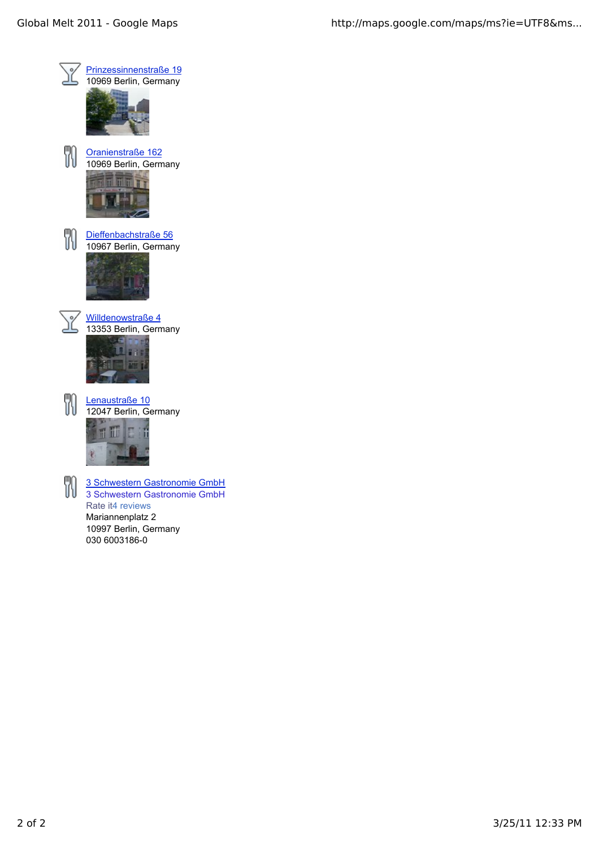